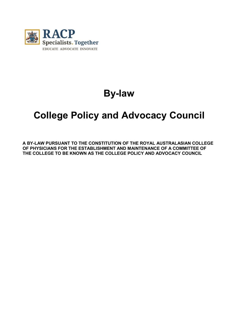

# **By-law**

# **College Policy and Advocacy Council**

**A BY-LAW PURSUANT TO THE CONSTITUTION OF THE ROYAL AUSTRALASIAN COLLEGE OF PHYSICIANS FOR THE ESTABLISHMENT AND MAINTENANCE OF A COMMITTEE OF THE COLLEGE TO BE KNOWN AS THE COLLEGE POLICY AND ADVOCACY COUNCIL**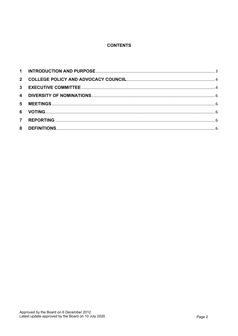## **CONTENTS**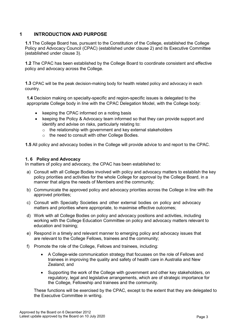# <span id="page-2-0"></span>**1 INTRODUCTION AND PURPOSE**

**1.1** The College Board has, pursuant to the Constitution of the College, established the College Policy and Advocacy Council (CPAC) (established under clause 2) and its Executive Committee (established under clause 3).

**1.2** The CPAC has been established by the College Board to coordinate consistent and effective policy and advocacy across the College.

**1.3** CPAC will be the peak decision-making body for health related policy and advocacy in each country.

**1.4** Decision making on specialty-specific and region-specific issues is delegated to the appropriate College body in line with the CPAC Delegation Model, with the College body:

- keeping the CPAC informed on a noting basis
- keeping the Policy & Advocacy team informed so that they can provide support and identify and advise on risks, particularly relating to:
	- $\circ$  the relationship with government and key external stakeholders
	- o the need to consult with other College Bodies.

**1.5** All policy and advocacy bodies in the College will provide advice to and report to the CPAC.

## **1. 6 Policy and Advocacy**

In matters of policy and advocacy, the CPAC has been established to:

- a) Consult with all College Bodies involved with policy and advocacy matters to establish the key policy priorities and activities for the whole College for approval by the College Board, in a manner that aligns the needs of Members and the community;
- b) Communicate the approved policy and advocacy priorities across the College in line with the approved priorities;
- c) Consult with Specialty Societies and other external bodies on policy and advocacy matters and priorities where appropriate, to maximise effective outcomes;
- d) Work with all College Bodies on policy and advocacy positions and activities, including working with the College Education Committee on policy and advocacy matters relevant to education and training;
- e) Respond in a timely and relevant manner to emerging policy and advocacy issues that are relevant to the College Fellows, trainees and the community;
- f) Promote the role of the College, Fellows and trainees, including:
	- A College-wide communication strategy that focusses on the role of Fellows and trainees in improving the quality and safety of health care in Australia and New Zealand; and
	- Supporting the work of the College with government and other key stakeholders, on regulatory, legal and legislative arrangements, which are of strategic importance for the College, Fellowship and trainees and the community.

These functions will be exercised by the CPAC, except to the extent that they are delegated to the Executive Committee in writing.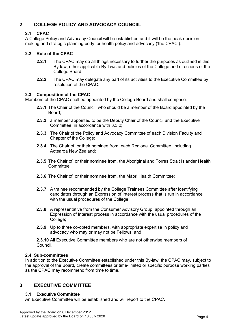# <span id="page-3-0"></span>**2 COLLEGE POLICY AND ADVOCACY COUNCIIL**

## **2.1 CPAC**

A College Policy and Advocacy Council will be established and it will be the peak decision making and strategic planning body for health policy and advocacy ('the CPAC').

## **2.2 Role of the CPAC**

- **2.2.1** The CPAC may do all things necessary to further the purposes as outlined in this By-law, other applicable By-laws and policies of the College and directions of the College Board.
- **2.2.2** The CPAC may delegate any part of its activities to the Executive Committee by resolution of the CPAC.

#### **2.3 Composition of the CPAC**

Members of the CPAC shall be appointed by the College Board and shall comprise:

- **2.3.1** The Chair of the Council, who should be a member of the Board appointed by the Board;
- **2.3.2** a member appointed to be the Deputy Chair of the Council and the Executive Committee, in accordance with 3.3.2;
- **2.3.3** The Chair of the Policy and Advocacy Committee of each Division Faculty and Chapter of the College;
- **2.3.4** The Chair of, or their nominee from, each Regional Committee, including Aotearoa New Zealand;
- **2.3.5** The Chair of, or their nominee from, the Aboriginal and Torres Strait Islander Health Committee;
- **2.3.6** The Chair of, or their nominee from, the Māori Health Committee;
- **2.3.7** A trainee recommended by the College Trainees Committee after identifying candidates through an Expression of Interest process that is run in accordance with the usual procedures of the College:
- **2.3.8** A representative from the Consumer Advisory Group, appointed through an Expression of Interest process in accordance with the usual procedures of the College;
- **2.3.9** Up to three co-opted members, with appropriate expertise in policy and advocacy who may or may not be Fellows; and

**2.3.10** All Executive Committee members who are not otherwise members of Council.

## **2.4 Sub-committees**

In addition to the Executive Committee established under this By-law, the CPAC may, subject to the approval of the Board, create committees or time-limited or specific purpose working parties as the CPAC may recommend from time to time.

## <span id="page-3-1"></span>**3 EXECUTIVE COMMITTEE**

## **3.1 Executive Committee**

An Executive Committee will be established and will report to the CPAC.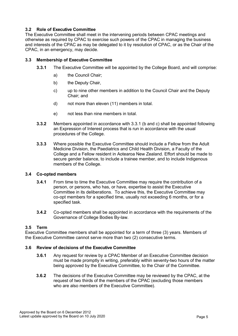## **3.2 Role of Executive Committee**

The Executive Committee shall meet in the intervening periods between CPAC meetings and otherwise as required by CPAC to exercise such powers of the CPAC in managing the business and interests of the CPAC as may be delegated to it by resolution of CPAC, or as the Chair of the CPAC, in an emergency, may decide.

## **3.3 Membership of Executive Committee**

- **3.3.1** The Executive Committee will be appointed by the College Board, and will comprise:
	- a) the Council Chair;
	- b) the Deputy Chair,
	- c) up to nine other members in addition to the Council Chair and the Deputy Chair; and
	- d) not more than eleven (11) members in total.
	- e) not less than nine members in total.
- **3.3.2** Members appointed in accordance with 3.3.1 (b and c) shall be appointed following an Expression of Interest process that is run in accordance with the usual procedures of the College.
- **3.3.3** Where possible the Executive Committee should include a Fellow from the Adult Medicine Division, the Paediatrics and Child Health Division, a Faculty of the College and a Fellow resident in Aotearoa New Zealand. Effort should be made to secure gender balance, to include a trainee member, and to include Indigenous members of the College.

## **3.4 Co-opted members**

- **3.4.1** From time to time the Executive Committee may require the contribution of a person, or persons, who has, or have, expertise to assist the Executive Committee in its deliberations. To achieve this, the Executive Committee may co-opt members for a specified time, usually not exceeding 6 months, or for a specified task.
- **3.4.2** Co-opted members shall be appointed in accordance with the requirements of the Governance of College Bodies By-law.

## **3.5 Term**

Executive Committee members shall be appointed for a term of three (3) years. Members of the Executive Committee cannot serve more than two (2) consecutive terms.

## **3.6 Review of decisions of the Executive Committee**

- **3.6.1** Any request for review by a CPAC Member of an Executive Committee decision must be made promptly in writing, preferably within seventy-two hours of the matter being approved by the Executive Committee, to the Chair of the Committee.
- **3.6.2** The decisions of the Executive Committee may be reviewed by the CPAC, at the request of two thirds of the members of the CPAC (excluding those members who are also members of the Executive Committee).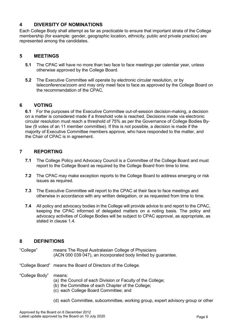## <span id="page-5-0"></span>**4 DIVERSITY OF NOMINATIONS**

Each College Body shall attempt as far as practicable to ensure that important strata of the College membership (for example: gender, geographic location, ethnicity, public and private practice) are represented among the candidates.

## <span id="page-5-1"></span>**5 MEETINGS**

- **5.1** The CPAC will have no more than two face to face meetings per calendar year, unless otherwise approved by the College Board.
- **5.2** The Executive Committee will operate by electronic circular resolution, or by teleconference/zoom and may only meet face to face as approved by the College Board on the recommendation of the CPAC.

## <span id="page-5-2"></span>**6 VOTING**

**6.1** For the purposes of the Executive Committee out-of-session decision-making, a decision on a matter is considered made if a threshold vote is reached. Decisions made via electronic circular resolution must reach a threshold of 75% as per the Governance of College Bodies Bylaw (9 votes of an 11 member committee). If this is not possible, a decision is made if the majority of Executive Committee members approve, who have responded to the matter, and the Chair of CPAC is in agreement.

# <span id="page-5-3"></span>**7 REPORTING**

- **7.1** The College Policy and Advocacy Council is a Committee of the College Board and must report to the College Board as required by the College Board from time to time.
- **7.2** The CPAC may make exception reports to the College Board to address emerging or risk issues as required.
- **7.3** The Executive Committee will report to the CPAC at their face to face meetings and otherwise in accordance with any written delegation, or as requested from time to time.
- **7.4** All policy and advocacy bodies in the College will provide advice to and report to the CPAC, keeping the CPAC informed of delegated matters on a noting basis. The policy and advocacy activities of College Bodies will be subject to CPAC approval, as appropriate, as stated in clause 1.4.

## <span id="page-5-4"></span>**8 DEFINITIONS**

- "College" means The Royal Australasian College of Physicians (ACN 000 039 047), an incorporated body limited by guarantee.
- "College Board" means the Board of Directors of the College.
- "College Body" means:
	- (a) the Council of each Division or Faculty of the College;
	- (b) the Committee of each Chapter of the College;
	- (c) each College Board Committee; and
	- (d) each Committee, subcommittee, working group, expert advisory group or other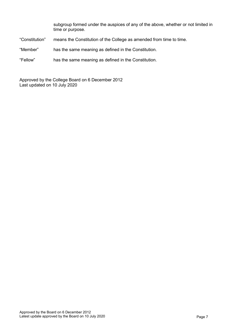subgroup formed under the auspices of any of the above, whether or not limited in time or purpose.

"Constitution" means the Constitution of the College as amended from time to time.

"Member" has the same meaning as defined in the Constitution.

"Fellow" has the same meaning as defined in the Constitution.

Approved by the College Board on 6 December 2012 Last updated on 10 July 2020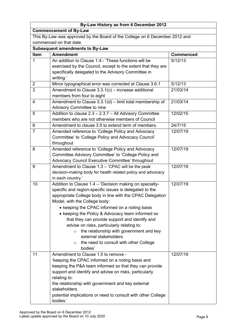| By-Law History as from 6 December 2012                                      |                                                                                                            |                  |  |  |  |  |
|-----------------------------------------------------------------------------|------------------------------------------------------------------------------------------------------------|------------------|--|--|--|--|
| <b>Commencement of By-Law</b>                                               |                                                                                                            |                  |  |  |  |  |
| This By-Law was approved by the Board of the College on 6 December 2012 and |                                                                                                            |                  |  |  |  |  |
| commenced on that date.                                                     |                                                                                                            |                  |  |  |  |  |
| <b>Subsequent amendments to By-Law</b>                                      |                                                                                                            |                  |  |  |  |  |
| Item                                                                        | <b>Amendment</b>                                                                                           | <b>Commenced</b> |  |  |  |  |
| 1                                                                           | An addition to Clause 1.4:- 'These functions will be                                                       | 5/12/13          |  |  |  |  |
|                                                                             | exercised by the Council, except to the extent that they are                                               |                  |  |  |  |  |
|                                                                             | specifically delegated to the Advisory Committee in                                                        |                  |  |  |  |  |
|                                                                             | writing.'                                                                                                  |                  |  |  |  |  |
| $\overline{2}$                                                              | Minor typographical error was corrected at Clause 3.6.1                                                    | 5/12/13          |  |  |  |  |
| $\overline{3}$                                                              | Amendment to Clause 3.3.1(c) - increase additional                                                         | 21/03/14         |  |  |  |  |
|                                                                             | members from four to eight                                                                                 |                  |  |  |  |  |
| 4                                                                           | Amendment to Clause $3.3.1(d)$ – limit total membership of                                                 | 21/03/14         |  |  |  |  |
|                                                                             | Advisory Committee to nine                                                                                 |                  |  |  |  |  |
| 5                                                                           | Addition to clause 2.3 - 2.3.7 - All Advisory Committee                                                    | 12/02/15         |  |  |  |  |
|                                                                             | members who are not otherwise members of Council                                                           |                  |  |  |  |  |
| 6                                                                           | Amendment to clause 3.5 to extend term of members.                                                         | 24/7/15          |  |  |  |  |
| $\overline{7}$                                                              | Amended reference to 'College Policy and Advocacy                                                          | 12/07/19         |  |  |  |  |
|                                                                             | Committee' to 'College Policy and Advocacy Council'                                                        |                  |  |  |  |  |
|                                                                             | throughout                                                                                                 |                  |  |  |  |  |
| 8                                                                           | Amended reference to 'College Policy and Advocacy                                                          | 12/07/19         |  |  |  |  |
|                                                                             | Committee Advisory Committee' to 'College Policy and                                                       |                  |  |  |  |  |
|                                                                             | Advocacy Council Executive Committee' throughout                                                           |                  |  |  |  |  |
| 9                                                                           | Amendment to Clause $1.3 - 'CPAC$ will be the peak                                                         | 12/07/19         |  |  |  |  |
|                                                                             | decision-making body for health related policy and advocacy                                                |                  |  |  |  |  |
|                                                                             | in each country.'                                                                                          |                  |  |  |  |  |
| 10                                                                          | Addition to Clause 1.4 - 'Decision making on specialty-                                                    | 12/07/19         |  |  |  |  |
|                                                                             | specific and region-specific issues is delegated to the                                                    |                  |  |  |  |  |
|                                                                             | appropriate College body in line with the CPAC Delegation                                                  |                  |  |  |  |  |
|                                                                             | Model, with the College body:                                                                              |                  |  |  |  |  |
|                                                                             | • keeping the CPAC informed on a noting basis                                                              |                  |  |  |  |  |
|                                                                             | • keeping the Policy & Advocacy team informed so                                                           |                  |  |  |  |  |
|                                                                             | that they can provide support and identify and                                                             |                  |  |  |  |  |
|                                                                             | advise on risks, particularly relating to:                                                                 |                  |  |  |  |  |
|                                                                             | the relationship with government and key<br>$\circ$                                                        |                  |  |  |  |  |
|                                                                             | external stakeholders                                                                                      |                  |  |  |  |  |
|                                                                             | the need to consult with other College<br>$\circ$                                                          |                  |  |  |  |  |
|                                                                             | bodies'<br>Amendment to Clause 1.5 to remove -                                                             |                  |  |  |  |  |
| 11                                                                          |                                                                                                            | 12/07/19         |  |  |  |  |
|                                                                             | 'keeping the CPAC informed on a noting basis and<br>keeping the P&A team informed so that they can provide |                  |  |  |  |  |
|                                                                             | support and identify and advise on risks, particularly                                                     |                  |  |  |  |  |
|                                                                             | relating to:                                                                                               |                  |  |  |  |  |
|                                                                             | the relationship with government and key external                                                          |                  |  |  |  |  |
|                                                                             | stakeholders                                                                                               |                  |  |  |  |  |
|                                                                             | potential implications or need to consult with other College                                               |                  |  |  |  |  |
|                                                                             | bodies.'                                                                                                   |                  |  |  |  |  |
|                                                                             |                                                                                                            |                  |  |  |  |  |